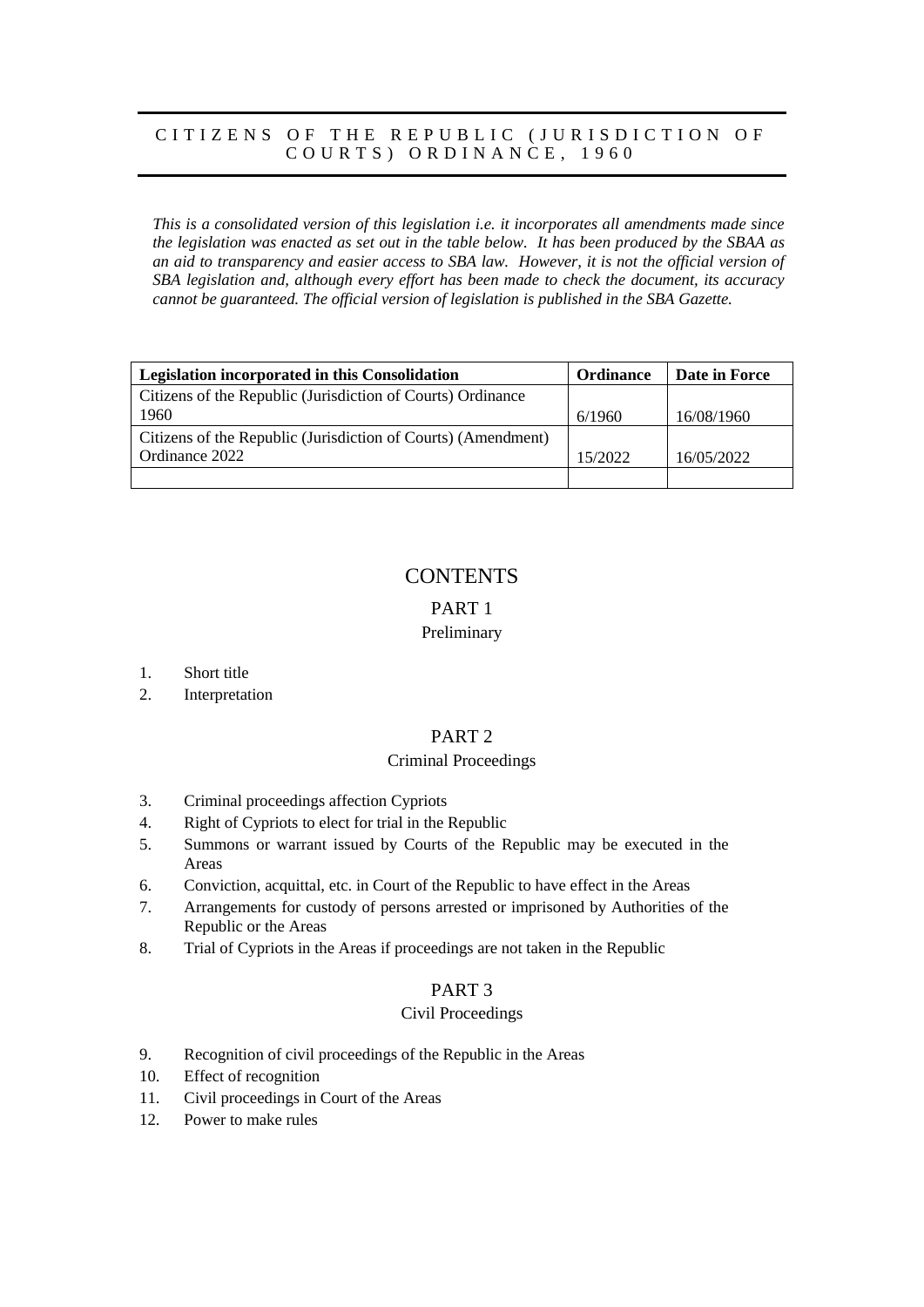# CITIZENS OF THE REPUBLIC (JURISDICTION OF COURTS) ORDINANCE, 1960

*This is a consolidated version of this legislation i.e. it incorporates all amendments made since the legislation was enacted as set out in the table below. It has been produced by the SBAA as an aid to transparency and easier access to SBA law. However, it is not the official version of SBA legislation and, although every effort has been made to check the document, its accuracy cannot be guaranteed. The official version of legislation is published in the SBA Gazette.*

| Legislation incorporated in this Consolidation                | <b>Ordinance</b> | Date in Force |
|---------------------------------------------------------------|------------------|---------------|
| Citizens of the Republic (Jurisdiction of Courts) Ordinance   |                  |               |
| 1960                                                          | 6/1960           | 16/08/1960    |
| Citizens of the Republic (Jurisdiction of Courts) (Amendment) |                  |               |
| Ordinance 2022                                                | 15/2022          | 16/05/2022    |
|                                                               |                  |               |

# **CONTENTS**

# PART 1

## Preliminary

- 1. Short title
- 2. Interpretation

### PART 2

## Criminal Proceedings

- 3. Criminal proceedings affection Cypriots
- 4. Right of Cypriots to elect for trial in the Republic
- 5. Summons or warrant issued by Courts of the Republic may be executed in the Areas
- 6. Conviction, acquittal, etc. in Court of the Republic to have effect in the Areas
- 7. Arrangements for custody of persons arrested or imprisoned by Authorities of the Republic or the Areas
- 8. Trial of Cypriots in the Areas if proceedings are not taken in the Republic

### PART 3

### Civil Proceedings

- 9. Recognition of civil proceedings of the Republic in the Areas
- 10. Effect of recognition
- 11. Civil proceedings in Court of the Areas
- 12. Power to make rules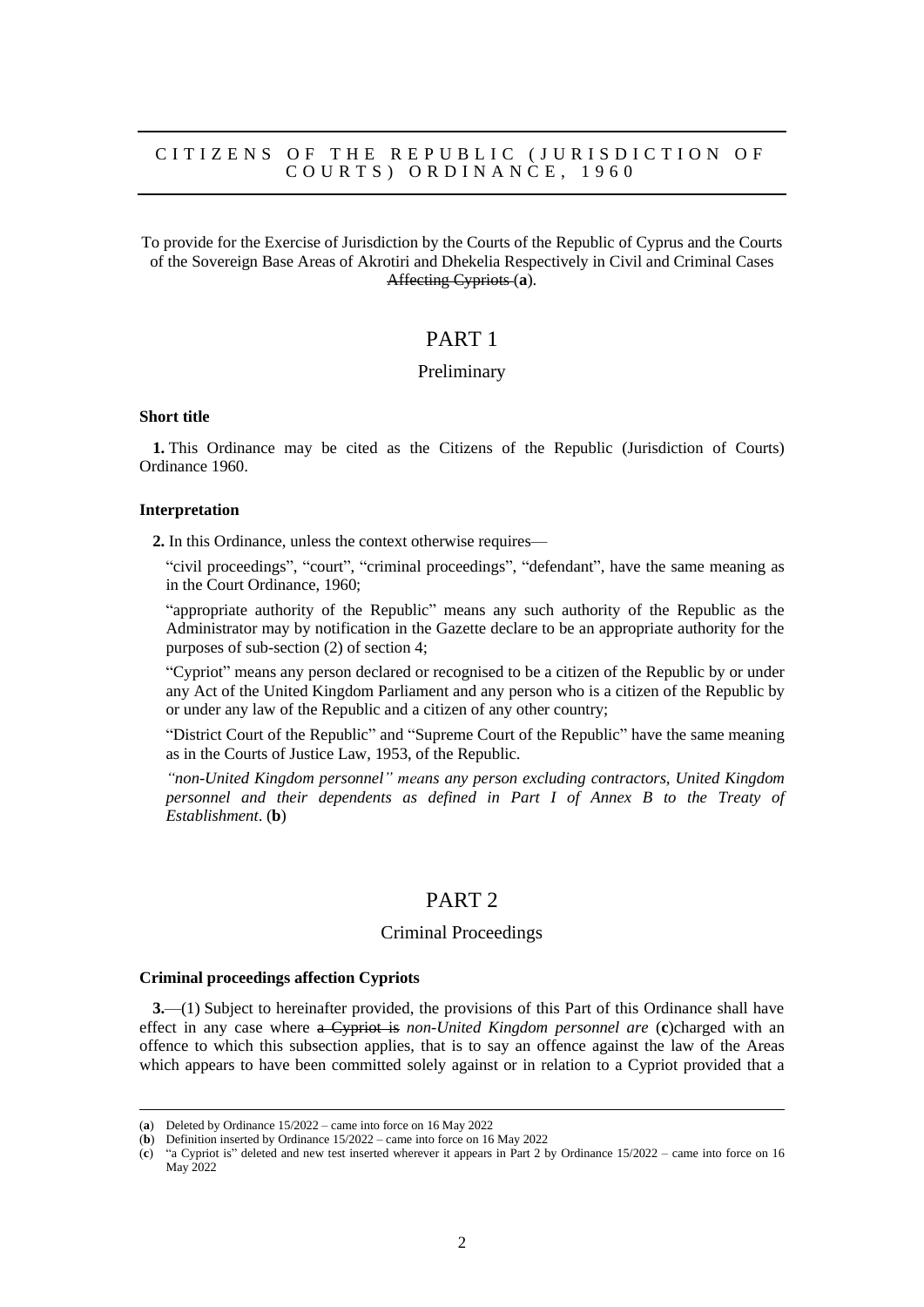### CITIZENS OF THE REPUBLIC (JURISDICTION OF C O U R T S ) O R D I N A N C E , 1 9 6 0

To provide for the Exercise of Jurisdiction by the Courts of the Republic of Cyprus and the Courts of the Sovereign Base Areas of Akrotiri and Dhekelia Respectively in Civil and Criminal Cases Affecting Cypriots (**a**).

# PART 1

### Preliminary

#### **Short title**

**1.** This Ordinance may be cited as the Citizens of the Republic (Jurisdiction of Courts) Ordinance 1960.

#### **Interpretation**

**2.** In this Ordinance, unless the context otherwise requires—

"civil proceedings", "court", "criminal proceedings", "defendant", have the same meaning as in the Court Ordinance, 1960;

"appropriate authority of the Republic" means any such authority of the Republic as the Administrator may by notification in the Gazette declare to be an appropriate authority for the purposes of sub-section (2) of section 4;

"Cypriot" means any person declared or recognised to be a citizen of the Republic by or under any Act of the United Kingdom Parliament and any person who is a citizen of the Republic by or under any law of the Republic and a citizen of any other country;

"District Court of the Republic" and "Supreme Court of the Republic" have the same meaning as in the Courts of Justice Law, 1953, of the Republic.

*"non-United Kingdom personnel" means any person excluding contractors, United Kingdom personnel and their dependents as defined in Part I of Annex B to the Treaty of Establishment*. (**b**)

# PART 2

## Criminal Proceedings

#### **Criminal proceedings affection Cypriots**

**3.**—(1) Subject to hereinafter provided, the provisions of this Part of this Ordinance shall have effect in any case where a Cypriot is *non-United Kingdom personnel are* (**c**)charged with an offence to which this subsection applies, that is to say an offence against the law of the Areas which appears to have been committed solely against or in relation to a Cypriot provided that a

<sup>(</sup>**a**) Deleted by Ordinance 15/2022 – came into force on 16 May 2022

<sup>(</sup>**b**) Definition inserted by Ordinance 15/2022 – came into force on 16 May 2022

<sup>(</sup>**c**) "a Cypriot is" deleted and new test inserted wherever it appears in Part 2 by Ordinance 15/2022 – came into force on 16 May 2022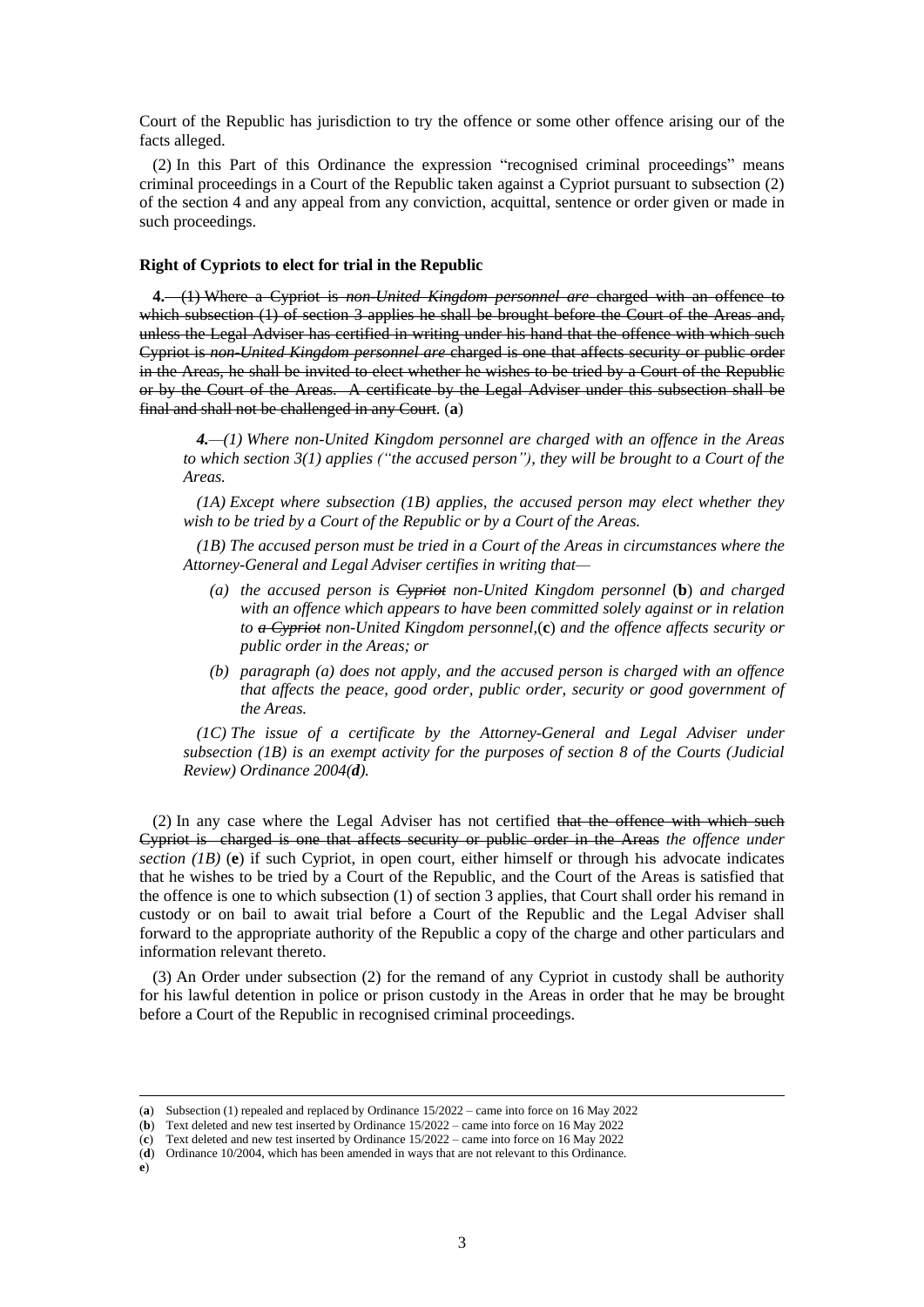Court of the Republic has jurisdiction to try the offence or some other offence arising our of the facts alleged.

(2) In this Part of this Ordinance the expression "recognised criminal proceedings" means criminal proceedings in a Court of the Republic taken against a Cypriot pursuant to subsection (2) of the section 4 and any appeal from any conviction, acquittal, sentence or order given or made in such proceedings.

#### **Right of Cypriots to elect for trial in the Republic**

**4.**—(1) Where a Cypriot is *non-United Kingdom personnel are* charged with an offence to which subsection (1) of section 3 applies he shall be brought before the Court of the Areas and, unless the Legal Adviser has certified in writing under his hand that the offence with which such Cypriot is *non-United Kingdom personnel are* charged is one that affects security or public order in the Areas, he shall be invited to elect whether he wishes to be tried by a Court of the Republic or by the Court of the Areas. A certificate by the Legal Adviser under this subsection shall be final and shall not be challenged in any Court. (**a**)

*4.—(1) Where non-United Kingdom personnel are charged with an offence in the Areas to which section 3(1) applies ("the accused person"), they will be brought to a Court of the Areas.*

*(1A) Except where subsection (1B) applies, the accused person may elect whether they wish to be tried by a Court of the Republic or by a Court of the Areas.*

*(1B) The accused person must be tried in a Court of the Areas in circumstances where the Attorney-General and Legal Adviser certifies in writing that—*

- *(a) the accused person is Cypriot non-United Kingdom personnel* (**b**) *and charged with an offence which appears to have been committed solely against or in relation to a Cypriot non-United Kingdom personnel,*(**c**) *and the offence affects security or public order in the Areas; or*
- *(b) paragraph (a) does not apply, and the accused person is charged with an offence that affects the peace, good order, public order, security or good government of the Areas.*

*(1C) The issue of a certificate by the Attorney-General and Legal Adviser under subsection (1B) is an exempt activity for the purposes of section 8 of the Courts (Judicial Review) Ordinance 2004(d).*

(2) In any case where the Legal Adviser has not certified that the offence with which such Cypriot is charged is one that affects security or public order in the Areas *the offence under section (1B)* (**e**) if such Cypriot, in open court, either himself or through his advocate indicates that he wishes to be tried by a Court of the Republic, and the Court of the Areas is satisfied that the offence is one to which subsection (1) of section 3 applies, that Court shall order his remand in custody or on bail to await trial before a Court of the Republic and the Legal Adviser shall forward to the appropriate authority of the Republic a copy of the charge and other particulars and information relevant thereto.

(3) An Order under subsection (2) for the remand of any Cypriot in custody shall be authority for his lawful detention in police or prison custody in the Areas in order that he may be brought before a Court of the Republic in recognised criminal proceedings.

<sup>(</sup>**a**) Subsection (1) repealed and replaced by Ordinance 15/2022 – came into force on 16 May 2022

<sup>(</sup>**b**) Text deleted and new test inserted by Ordinance 15/2022 – came into force on 16 May 2022

<sup>(</sup>**c**) Text deleted and new test inserted by Ordinance 15/2022 – came into force on 16 May 2022

<sup>(</sup>**d**) Ordinance 10/2004, which has been amended in ways that are not relevant to this Ordinance.

**e**)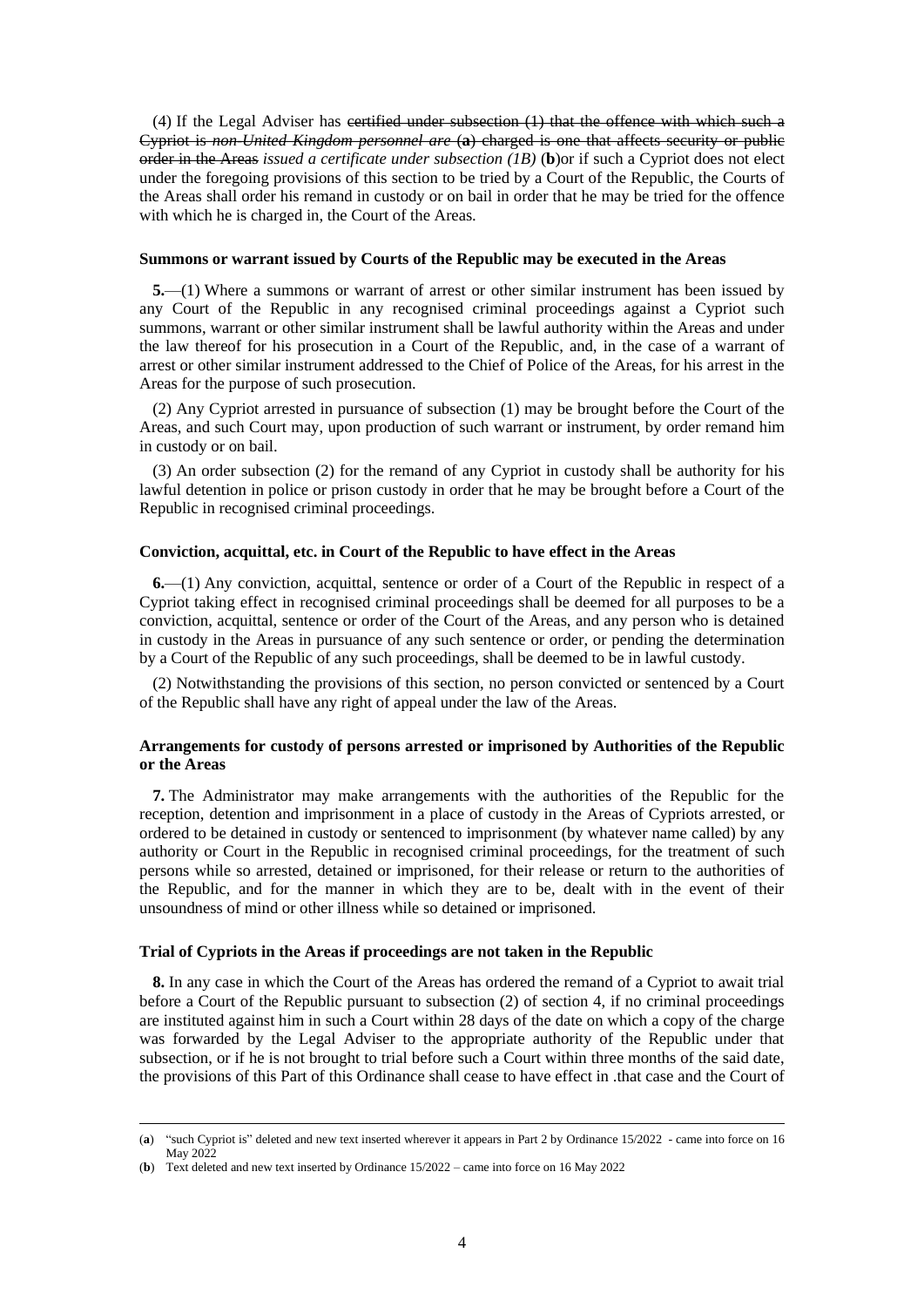(4) If the Legal Adviser has certified under subsection (1) that the offence with which such a Cypriot is *non-United Kingdom personnel are* (**a**) charged is one that affects security or public order in the Areas *issued a certificate under subsection (1B)* (**b**)or if such a Cypriot does not elect under the foregoing provisions of this section to be tried by a Court of the Republic, the Courts of the Areas shall order his remand in custody or on bail in order that he may be tried for the offence with which he is charged in, the Court of the Areas.

#### **Summons or warrant issued by Courts of the Republic may be executed in the Areas**

**5.**—(1) Where a summons or warrant of arrest or other similar instrument has been issued by any Court of the Republic in any recognised criminal proceedings against a Cypriot such summons, warrant or other similar instrument shall be lawful authority within the Areas and under the law thereof for his prosecution in a Court of the Republic, and, in the case of a warrant of arrest or other similar instrument addressed to the Chief of Police of the Areas, for his arrest in the Areas for the purpose of such prosecution.

(2) Any Cypriot arrested in pursuance of subsection (1) may be brought before the Court of the Areas, and such Court may, upon production of such warrant or instrument, by order remand him in custody or on bail.

(3) An order subsection (2) for the remand of any Cypriot in custody shall be authority for his lawful detention in police or prison custody in order that he may be brought before a Court of the Republic in recognised criminal proceedings.

#### **Conviction, acquittal, etc. in Court of the Republic to have effect in the Areas**

**6.**—(1) Any conviction, acquittal, sentence or order of a Court of the Republic in respect of a Cypriot taking effect in recognised criminal proceedings shall be deemed for all purposes to be a conviction, acquittal, sentence or order of the Court of the Areas, and any person who is detained in custody in the Areas in pursuance of any such sentence or order, or pending the determination by a Court of the Republic of any such proceedings, shall be deemed to be in lawful custody.

(2) Notwithstanding the provisions of this section, no person convicted or sentenced by a Court of the Republic shall have any right of appeal under the law of the Areas.

#### **Arrangements for custody of persons arrested or imprisoned by Authorities of the Republic or the Areas**

**7.** The Administrator may make arrangements with the authorities of the Republic for the reception, detention and imprisonment in a place of custody in the Areas of Cypriots arrested, or ordered to be detained in custody or sentenced to imprisonment (by whatever name called) by any authority or Court in the Republic in recognised criminal proceedings, for the treatment of such persons while so arrested, detained or imprisoned, for their release or return to the authorities of the Republic, and for the manner in which they are to be, dealt with in the event of their unsoundness of mind or other illness while so detained or imprisoned.

#### **Trial of Cypriots in the Areas if proceedings are not taken in the Republic**

**8.** In any case in which the Court of the Areas has ordered the remand of a Cypriot to await trial before a Court of the Republic pursuant to subsection (2) of section 4, if no criminal proceedings are instituted against him in such a Court within 28 days of the date on which a copy of the charge was forwarded by the Legal Adviser to the appropriate authority of the Republic under that subsection, or if he is not brought to trial before such a Court within three months of the said date, the provisions of this Part of this Ordinance shall cease to have effect in .that case and the Court of

<sup>(</sup>**a**) "such Cypriot is" deleted and new text inserted wherever it appears in Part 2 by Ordinance 15/2022 - came into force on 16 May 2022

<sup>(</sup>**b**) Text deleted and new text inserted by Ordinance 15/2022 – came into force on 16 May 2022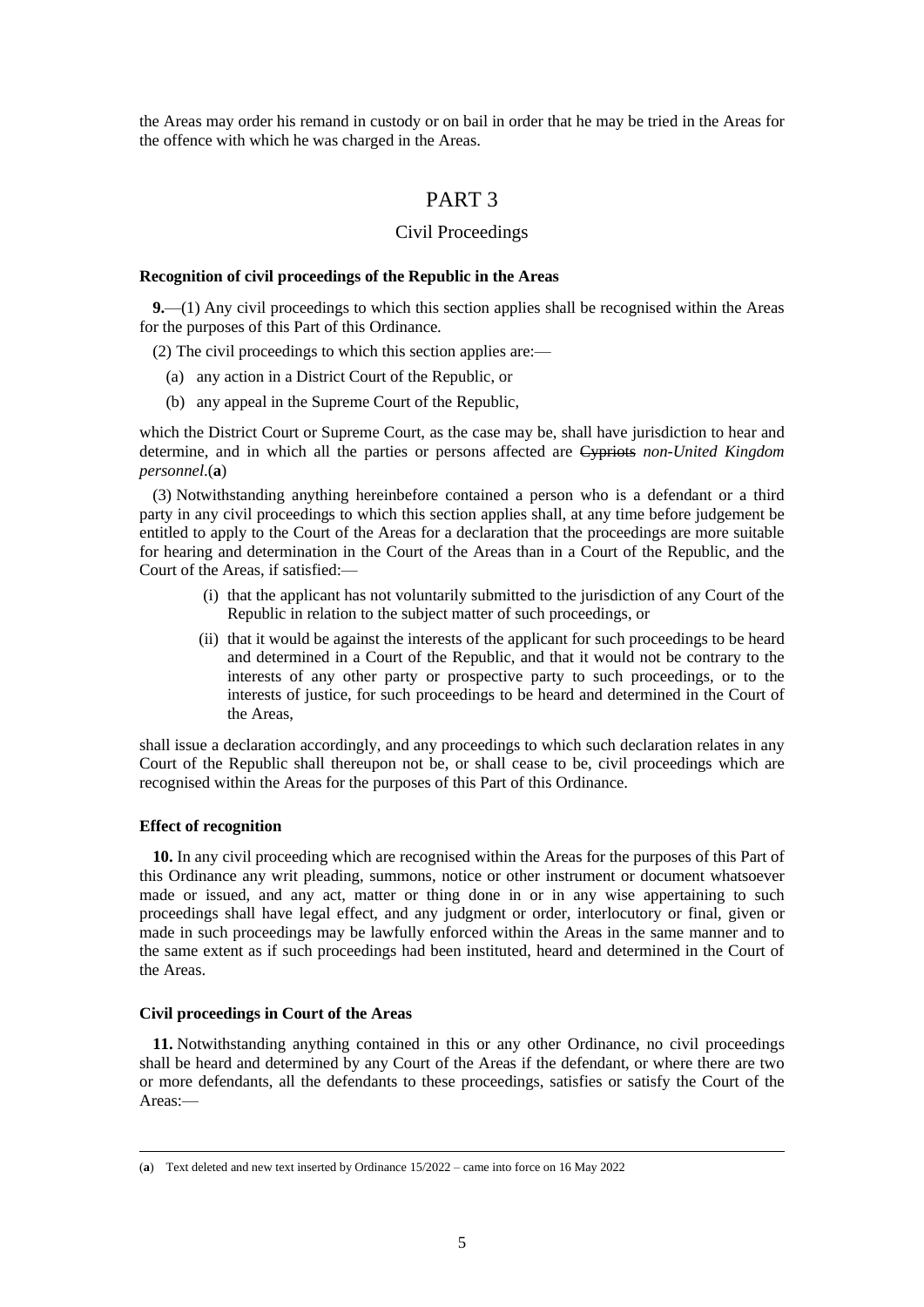the Areas may order his remand in custody or on bail in order that he may be tried in the Areas for the offence with which he was charged in the Areas.

# PART 3

### Civil Proceedings

#### **Recognition of civil proceedings of the Republic in the Areas**

**9.**—(1) Any civil proceedings to which this section applies shall be recognised within the Areas for the purposes of this Part of this Ordinance.

(2) The civil proceedings to which this section applies are:—

- (a) any action in a District Court of the Republic, or
- (b) any appeal in the Supreme Court of the Republic,

which the District Court or Supreme Court, as the case may be, shall have jurisdiction to hear and determine, and in which all the parties or persons affected are Cypriots *non-United Kingdom personnel*.(**a**)

(3) Notwithstanding anything hereinbefore contained a person who is a defendant or a third party in any civil proceedings to which this section applies shall, at any time before judgement be entitled to apply to the Court of the Areas for a declaration that the proceedings are more suitable for hearing and determination in the Court of the Areas than in a Court of the Republic, and the Court of the Areas, if satisfied:—

- (i) that the applicant has not voluntarily submitted to the jurisdiction of any Court of the Republic in relation to the subject matter of such proceedings, or
- (ii) that it would be against the interests of the applicant for such proceedings to be heard and determined in a Court of the Republic, and that it would not be contrary to the interests of any other party or prospective party to such proceedings, or to the interests of justice, for such proceedings to be heard and determined in the Court of the Areas,

shall issue a declaration accordingly, and any proceedings to which such declaration relates in any Court of the Republic shall thereupon not be, or shall cease to be, civil proceedings which are recognised within the Areas for the purposes of this Part of this Ordinance.

#### **Effect of recognition**

**10.** In any civil proceeding which are recognised within the Areas for the purposes of this Part of this Ordinance any writ pleading, summons, notice or other instrument or document whatsoever made or issued, and any act, matter or thing done in or in any wise appertaining to such proceedings shall have legal effect, and any judgment or order, interlocutory or final, given or made in such proceedings may be lawfully enforced within the Areas in the same manner and to the same extent as if such proceedings had been instituted, heard and determined in the Court of the Areas.

#### **Civil proceedings in Court of the Areas**

**11.** Notwithstanding anything contained in this or any other Ordinance, no civil proceedings shall be heard and determined by any Court of the Areas if the defendant, or where there are two or more defendants, all the defendants to these proceedings, satisfies or satisfy the Court of the Areas:—

<sup>(</sup>**a**) Text deleted and new text inserted by Ordinance 15/2022 – came into force on 16 May 2022